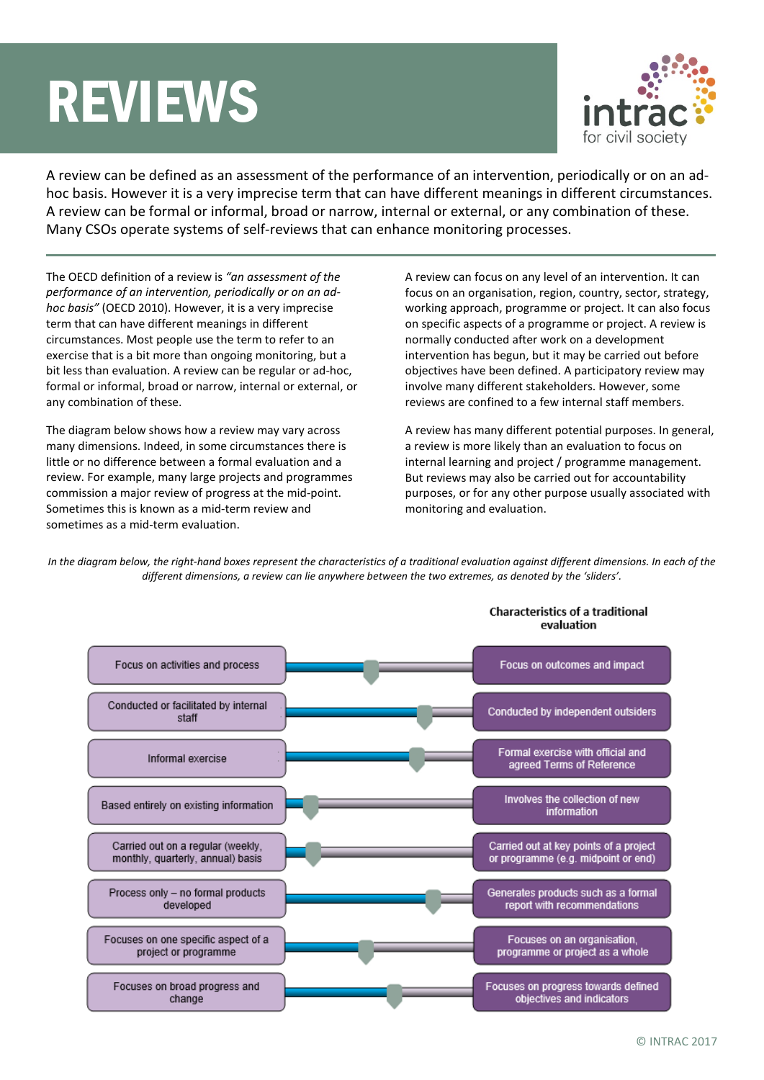# REVIEWS



A review can be defined as an assessment of the performance of an intervention, periodically or on an adhoc basis. However it is a very imprecise term that can have different meanings in different circumstances. A review can be formal or informal, broad or narrow, internal or external, or any combination of these. Many CSOs operate systems of self-reviews that can enhance monitoring processes.

The OECD definition of a review is *"an assessment of the performance of an intervention, periodically or on an adhoc basis"* (OECD 2010). However, it is a very imprecise term that can have different meanings in different circumstances. Most people use the term to refer to an exercise that is a bit more than ongoing monitoring, but a bit less than evaluation. A review can be regular or ad-hoc, formal or informal, broad or narrow, internal or external, or any combination of these.

The diagram below shows how a review may vary across many dimensions. Indeed, in some circumstances there is little or no difference between a formal evaluation and a review. For example, many large projects and programmes commission a major review of progress at the mid-point. Sometimes this is known as a mid-term review and sometimes as a mid-term evaluation.

A review can focus on any level of an intervention. It can focus on an organisation, region, country, sector, strategy, working approach, programme or project. It can also focus on specific aspects of a programme or project. A review is normally conducted after work on a development intervention has begun, but it may be carried out before objectives have been defined. A participatory review may involve many different stakeholders. However, some reviews are confined to a few internal staff members.

A review has many different potential purposes. In general, a review is more likely than an evaluation to focus on internal learning and project / programme management. But reviews may also be carried out for accountability purposes, or for any other purpose usually associated with monitoring and evaluation.

*In the diagram below, the right-hand boxes represent the characteristics of a traditional evaluation against different dimensions. In each of the different dimensions, a review can lie anywhere between the two extremes, as denoted by the 'sliders'.*

| Focus on activities and process                                        | Focus on outcomes and impact                                                  |
|------------------------------------------------------------------------|-------------------------------------------------------------------------------|
| Conducted or facilitated by internal<br>staff                          | Conducted by independent outsiders                                            |
| Informal exercise                                                      | Formal exercise with official and<br>agreed Terms of Reference                |
| Based entirely on existing information                                 | Involves the collection of new<br>information                                 |
| Carried out on a regular (weekly,<br>monthly, quarterly, annual) basis | Carried out at key points of a project<br>or programme (e.g. midpoint or end) |
| Process only - no formal products<br>developed                         | Generates products such as a formal<br>report with recommendations            |
| Focuses on one specific aspect of a<br>project or programme            | Focuses on an organisation,<br>programme or project as a whole                |
| Focuses on broad progress and<br>change                                | Focuses on progress towards defined<br>objectives and indicators              |

#### **Characteristics of a traditional** ovaluation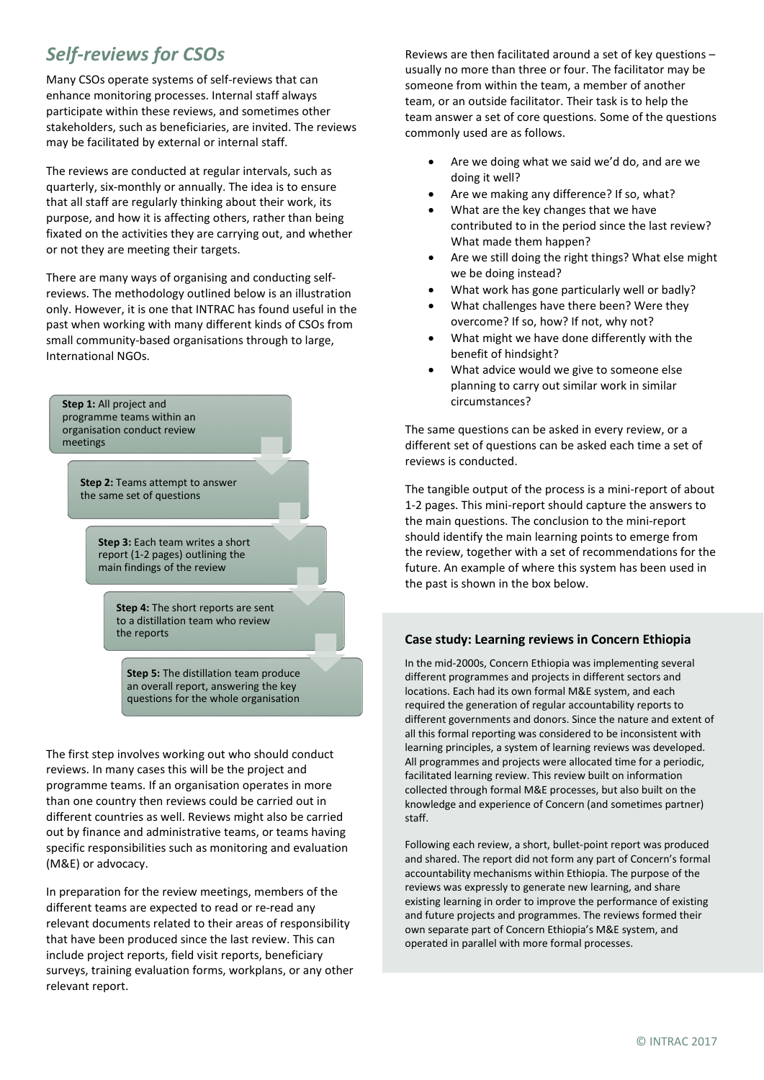## *Self-reviews for CSOs*

Many CSOs operate systems of self-reviews that can enhance monitoring processes. Internal staff always participate within these reviews, and sometimes other stakeholders, such as beneficiaries, are invited. The reviews may be facilitated by external or internal staff.

The reviews are conducted at regular intervals, such as quarterly, six-monthly or annually. The idea is to ensure that all staff are regularly thinking about their work, its purpose, and how it is affecting others, rather than being fixated on the activities they are carrying out, and whether or not they are meeting their targets.

There are many ways of organising and conducting selfreviews. The methodology outlined below is an illustration only. However, it is one that INTRAC has found useful in the past when working with many different kinds of CSOs from small community-based organisations through to large, International NGOs.

**Step 1:** All project and programme teams within an organisation conduct review meetings

> **Step 2:** Teams attempt to answer the same set of questions

> > **Step 3:** Each team writes a short report (1-2 pages) outlining the main findings of the review

> > > **Step 4:** The short reports are sent to a distillation team who review the reports

**Step 5:** The distillation team produce an overall report, answering the key questions for the whole organisation

The first step involves working out who should conduct reviews. In many cases this will be the project and programme teams. If an organisation operates in more than one country then reviews could be carried out in different countries as well. Reviews might also be carried out by finance and administrative teams, or teams having specific responsibilities such as monitoring and evaluation (M&E) or advocacy.

In preparation for the review meetings, members of the different teams are expected to read or re-read any relevant documents related to their areas of responsibility that have been produced since the last review. This can include project reports, field visit reports, beneficiary surveys, training evaluation forms, workplans, or any other relevant report.

Reviews are then facilitated around a set of key questions – usually no more than three or four. The facilitator may be someone from within the team, a member of another team, or an outside facilitator. Their task is to help the team answer a set of core questions. Some of the questions commonly used are as follows.

- Are we doing what we said we'd do, and are we doing it well?
- Are we making any difference? If so, what?
- What are the key changes that we have contributed to in the period since the last review? What made them happen?
- Are we still doing the right things? What else might we be doing instead?
- What work has gone particularly well or badly?
- What challenges have there been? Were they overcome? If so, how? If not, why not?
- What might we have done differently with the benefit of hindsight?
- What advice would we give to someone else planning to carry out similar work in similar circumstances?

The same questions can be asked in every review, or a different set of questions can be asked each time a set of reviews is conducted.

The tangible output of the process is a mini-report of about 1-2 pages. This mini-report should capture the answers to the main questions. The conclusion to the mini-report should identify the main learning points to emerge from the review, together with a set of recommendations for the future. An example of where this system has been used in the past is shown in the box below.

### **Case study: Learning reviews in Concern Ethiopia**

In the mid-2000s, Concern Ethiopia was implementing several different programmes and projects in different sectors and locations. Each had its own formal M&E system, and each required the generation of regular accountability reports to different governments and donors. Since the nature and extent of all this formal reporting was considered to be inconsistent with learning principles, a system of learning reviews was developed. All programmes and projects were allocated time for a periodic, facilitated learning review. This review built on information collected through formal M&E processes, but also built on the knowledge and experience of Concern (and sometimes partner) staff.

Following each review, a short, bullet-point report was produced and shared. The report did not form any part of Concern's formal accountability mechanisms within Ethiopia. The purpose of the reviews was expressly to generate new learning, and share existing learning in order to improve the performance of existing and future projects and programmes. The reviews formed their own separate part of Concern Ethiopia's M&E system, and operated in parallel with more formal processes.